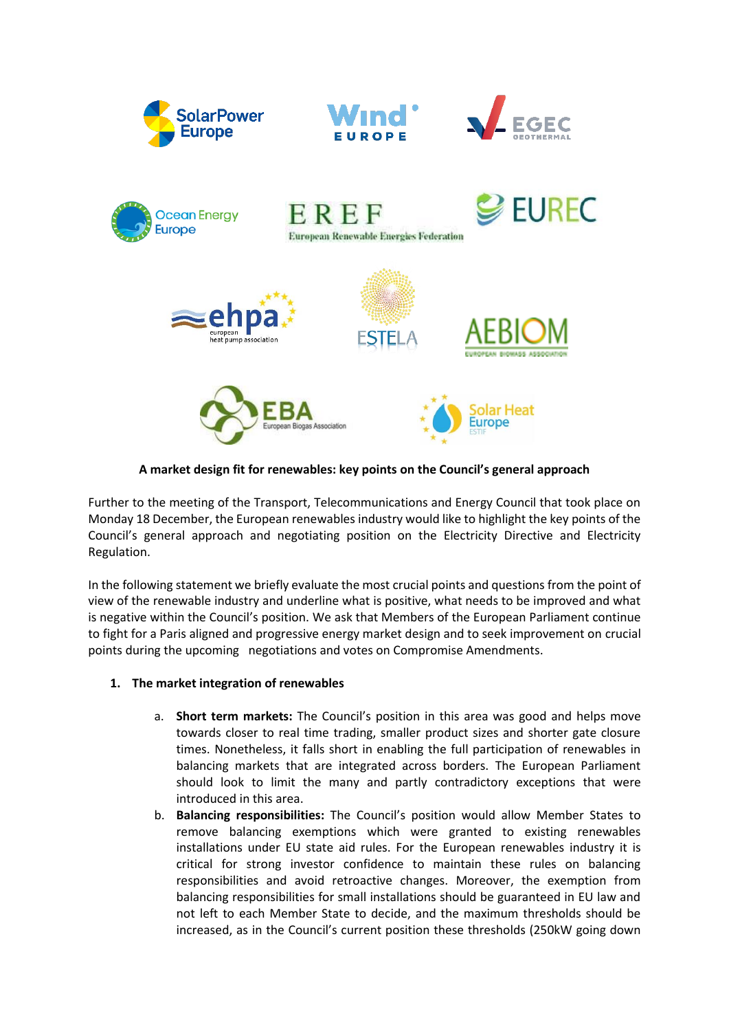







**A market design fit for renewables: key points on the Council's general approach**

Further to the meeting of the Transport, Telecommunications and Energy Council that took place on Monday 18 December, the European renewables industry would like to highlight the key points of the Council's general approach and negotiating position on the Electricity Directive and Electricity Regulation.

In the following statement we briefly evaluate the most crucial points and questions from the point of view of the renewable industry and underline what is positive, what needs to be improved and what is negative within the Council's position. We ask that Members of the European Parliament continue to fight for a Paris aligned and progressive energy market design and to seek improvement on crucial points during the upcoming negotiations and votes on Compromise Amendments.

## **1. The market integration of renewables**

- a. **Short term markets:** The Council's position in this area was good and helps move towards closer to real time trading, smaller product sizes and shorter gate closure times. Nonetheless, it falls short in enabling the full participation of renewables in balancing markets that are integrated across borders. The European Parliament should look to limit the many and partly contradictory exceptions that were introduced in this area.
- b. **Balancing responsibilities:** The Council's position would allow Member States to remove balancing exemptions which were granted to existing renewables installations under EU state aid rules. For the European renewables industry it is critical for strong investor confidence to maintain these rules on balancing responsibilities and avoid retroactive changes. Moreover, the exemption from balancing responsibilities for small installations should be guaranteed in EU law and not left to each Member State to decide, and the maximum thresholds should be increased, as in the Council's current position these thresholds (250kW going down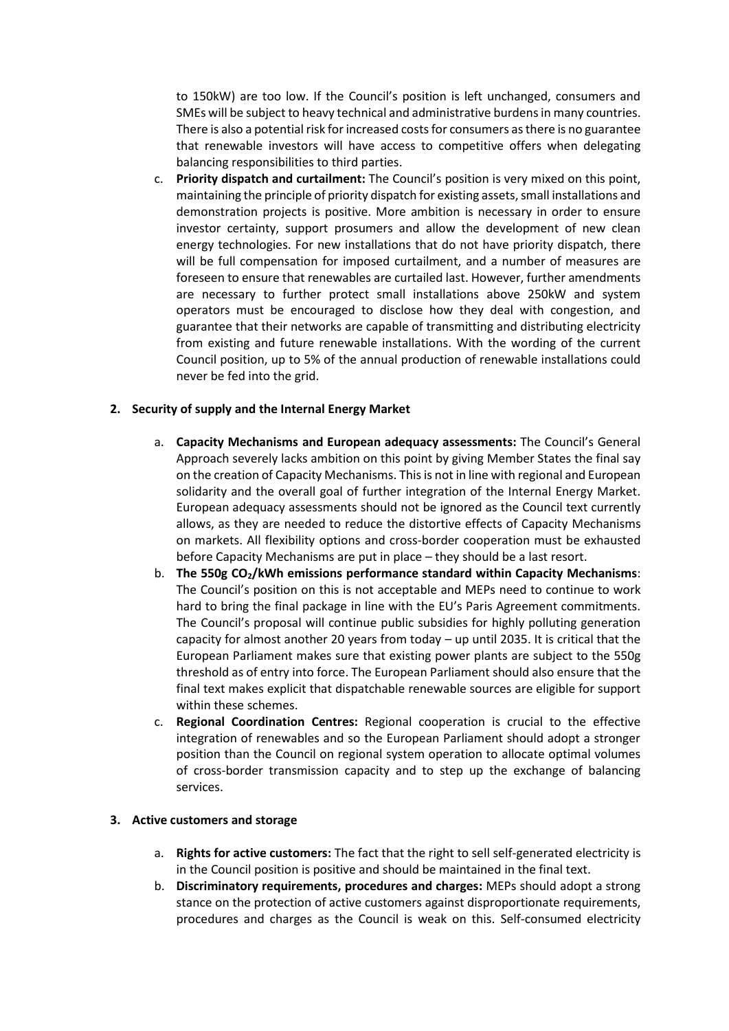to 150kW) are too low. If the Council's position is left unchanged, consumers and SMEs will be subject to heavy technical and administrative burdens in many countries. There is also a potential risk for increased costs for consumers as there is no guarantee that renewable investors will have access to competitive offers when delegating balancing responsibilities to third parties.

c. **Priority dispatch and curtailment:** The Council's position is very mixed on this point, maintaining the principle of priority dispatch for existing assets, small installations and demonstration projects is positive. More ambition is necessary in order to ensure investor certainty, support prosumers and allow the development of new clean energy technologies. For new installations that do not have priority dispatch, there will be full compensation for imposed curtailment, and a number of measures are foreseen to ensure that renewables are curtailed last. However, further amendments are necessary to further protect small installations above 250kW and system operators must be encouraged to disclose how they deal with congestion, and guarantee that their networks are capable of transmitting and distributing electricity from existing and future renewable installations. With the wording of the current Council position, up to 5% of the annual production of renewable installations could never be fed into the grid.

## **2. Security of supply and the Internal Energy Market**

- a. **Capacity Mechanisms and European adequacy assessments:** The Council's General Approach severely lacks ambition on this point by giving Member States the final say on the creation of Capacity Mechanisms. This is not in line with regional and European solidarity and the overall goal of further integration of the Internal Energy Market. European adequacy assessments should not be ignored as the Council text currently allows, as they are needed to reduce the distortive effects of Capacity Mechanisms on markets. All flexibility options and cross-border cooperation must be exhausted before Capacity Mechanisms are put in place – they should be a last resort.
- b. **The 550g CO2/kWh emissions performance standard within Capacity Mechanisms**: The Council's position on this is not acceptable and MEPs need to continue to work hard to bring the final package in line with the EU's Paris Agreement commitments. The Council's proposal will continue public subsidies for highly polluting generation capacity for almost another 20 years from today – up until 2035. It is critical that the European Parliament makes sure that existing power plants are subject to the 550g threshold as of entry into force. The European Parliament should also ensure that the final text makes explicit that dispatchable renewable sources are eligible for support within these schemes.
- c. **Regional Coordination Centres:** Regional cooperation is crucial to the effective integration of renewables and so the European Parliament should adopt a stronger position than the Council on regional system operation to allocate optimal volumes of cross-border transmission capacity and to step up the exchange of balancing services.

## **3. Active customers and storage**

- a. **Rights for active customers:** The fact that the right to sell self-generated electricity is in the Council position is positive and should be maintained in the final text.
- b. **Discriminatory requirements, procedures and charges:** MEPs should adopt a strong stance on the protection of active customers against disproportionate requirements, procedures and charges as the Council is weak on this. Self-consumed electricity